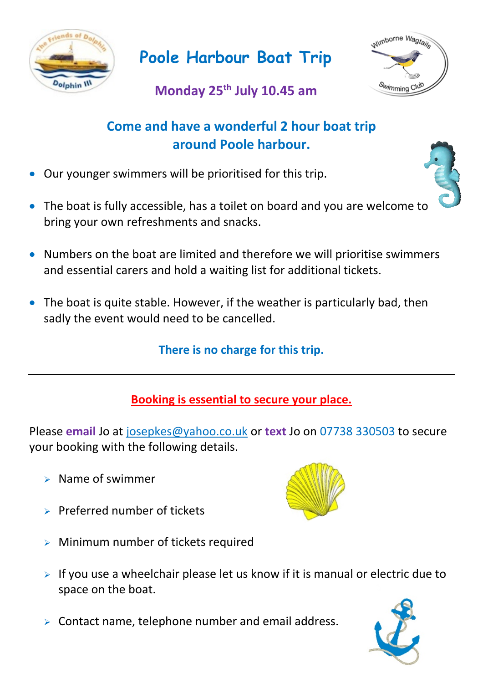

**Poole Harbour Boat Trip**



# **Monday 25th July 10.45 am**

## **Come and have a wonderful 2 hour boat trip around Poole harbour.**

- Our younger swimmers will be prioritised for this trip.
- The boat is fully accessible, has a toilet on board and you are welcome to bring your own refreshments and snacks.
- Numbers on the boat are limited and therefore we will prioritise swimmers and essential carers and hold a waiting list for additional tickets.
- The boat is quite stable. However, if the weather is particularly bad, then sadly the event would need to be cancelled.

**There is no charge for this trip.**

### **Booking is essential to secure your place.**

Please **email** Jo at [josepkes@yahoo.co.uk](mailto:josepkes@yahoo.co.uk) or **text** Jo on 07738 330503 to secure your booking with the following details.

- $\triangleright$  Name of swimmer
- $\triangleright$  Preferred number of tickets



- $\triangleright$  Minimum number of tickets required
- $\triangleright$  If you use a wheelchair please let us know if it is manual or electric due to space on the boat.
- $\triangleright$  Contact name, telephone number and email address.